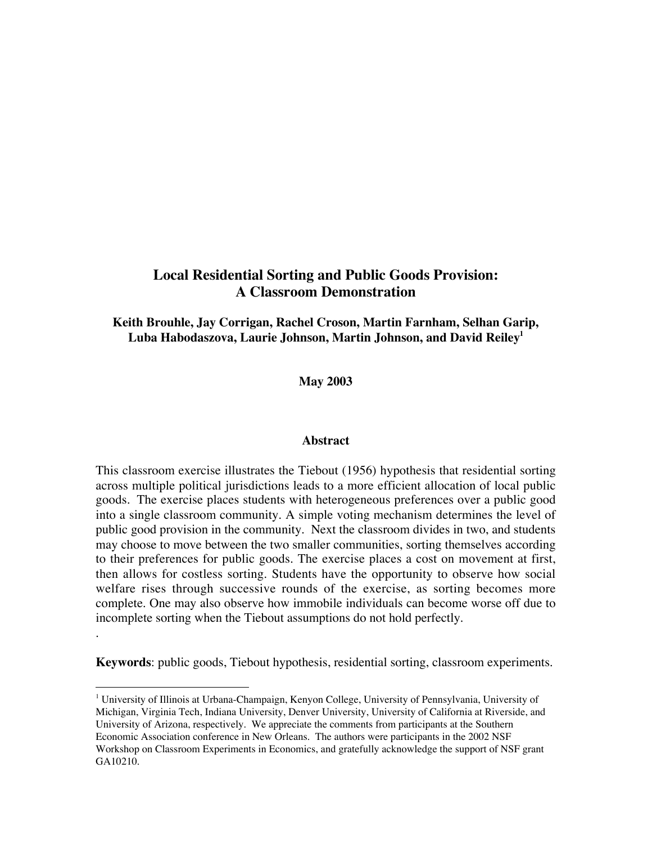# **Local Residential Sorting and Public Goods Provision: A Classroom Demonstration**

**Keith Brouhle, Jay Corrigan, Rachel Croson, Martin Farnham, Selhan Garip, Luba Habodaszova, Laurie Johnson, Martin Johnson, and David Reiley1**

**May 2003**

#### **Abstract**

This classroom exercise illustrates the Tiebout (1956) hypothesis that residential sorting across multiple political jurisdictions leads to a more efficient allocation of local public goods.The exercise places students with heterogeneous preferences over a public good into a single classroom community. A simple voting mechanism determines the level of public good provision in the community. Next the classroom divides in two, and students may choose to move between the two smaller communities, sorting themselves according to their preferences for public goods. The exercise places a cost on movement at first, then allows for costless sorting. Students have the opportunity to observe how social welfare rises through successive rounds of the exercise, as sorting becomes more complete. One may also observe how immobile individuals can become worse off due to incomplete sorting when the Tiebout assumptions do not hold perfectly.

**Keywords**: public goods, Tiebout hypothesis, residential sorting, classroom experiments.

.

<sup>|&</sup>lt;br>|<br>1 University of Illinois at Urbana-Champaign, Kenyon College, University of Pennsylvania, University of Michigan, Virginia Tech, Indiana University, Denver University, University of California at Riverside, and University of Arizona, respectively. We appreciate the comments from participants at the Southern Economic Association conference in New Orleans. The authors were participants in the 2002 NSF Workshop on Classroom Experiments in Economics, and gratefully acknowledge the support of NSF grant GA10210.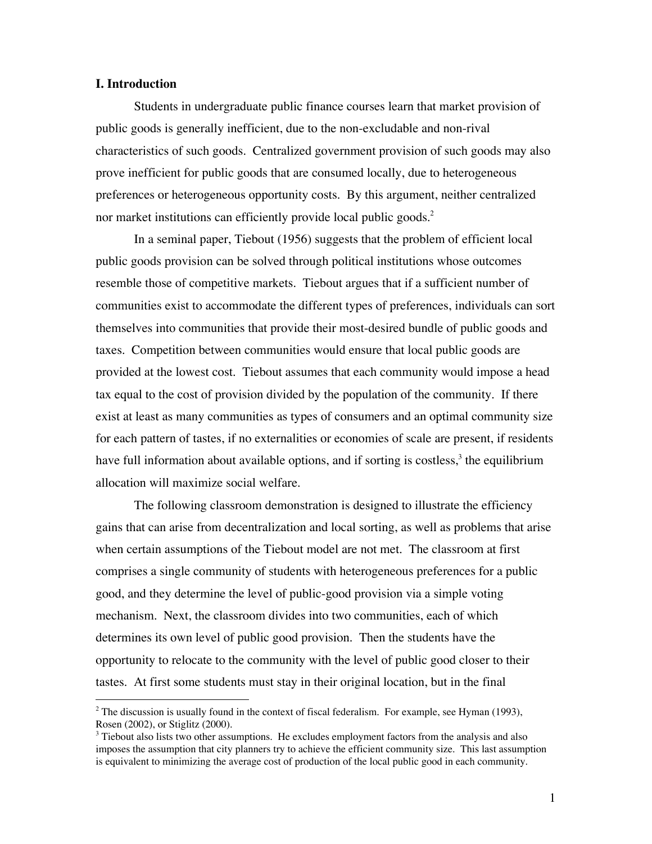#### **I. Introduction**

Students in undergraduate public finance courses learn that market provision of public goods is generally inefficient, due to the non-excludable and non-rival characteristics of such goods. Centralized government provision of such goods may also prove inefficient for public goods that are consumed locally, due to heterogeneous preferences or heterogeneous opportunity costs. By this argument, neither centralized nor market institutions can efficiently provide local public goods.<sup>2</sup>

In a seminal paper, Tiebout (1956) suggests that the problem of efficient local public goods provision can be solved through political institutions whose outcomes resemble those of competitive markets. Tiebout argues that if a sufficient number of communities exist to accommodate the different types of preferences, individuals can sort themselves into communities that provide their most-desired bundle of public goods and taxes. Competition between communities would ensure that local public goods are provided at the lowest cost. Tiebout assumes that each community would impose a head tax equal to the cost of provision divided by the population of the community. If there exist at least as many communities as types of consumers and an optimal community size for each pattern of tastes, if no externalities or economies of scale are present, if residents have full information about available options, and if sorting is costless, $3$  the equilibrium allocation will maximize social welfare.

The following classroom demonstration is designed to illustrate the efficiency gains that can arise from decentralization and local sorting, as well as problems that arise when certain assumptions of the Tiebout model are not met. The classroom at first comprises a single community of students with heterogeneous preferences for a public good, and they determine the level of public-good provision via a simple voting mechanism. Next, the classroom divides into two communities, each of which determines its own level of public good provision. Then the students have the opportunity to relocate to the community with the level of public good closer to their tastes. At first some students must stay in their original location, but in the final

 $\frac{1}{2}$  $2$  The discussion is usually found in the context of fiscal federalism. For example, see Hyman (1993), Rosen (2002), or Stiglitz (2000).

 $3$  Tiebout also lists two other assumptions. He excludes employment factors from the analysis and also imposes the assumption that city planners try to achieve the efficient community size. This last assumption is equivalent to minimizing the average cost of production of the local public good in each community.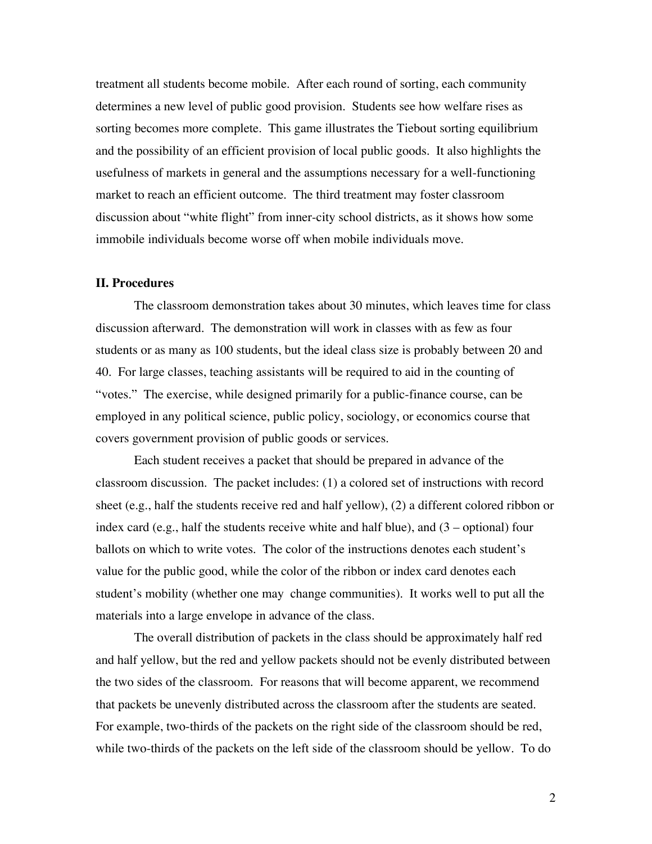treatment all students become mobile. After each round of sorting, each community determines a new level of public good provision. Students see how welfare rises as sorting becomes more complete. This game illustrates the Tiebout sorting equilibrium and the possibility of an efficient provision of local public goods. It also highlights the usefulness of markets in general and the assumptions necessary for a well-functioning market to reach an efficient outcome. The third treatment may foster classroom discussion about "white flight" from inner-city school districts, as it shows how some immobile individuals become worse off when mobile individuals move.

#### **II. Procedures**

The classroom demonstration takes about 30 minutes, which leaves time for class discussion afterward. The demonstration will work in classes with as few as four students or as many as 100 students, but the ideal class size is probably between 20 and 40. For large classes, teaching assistants will be required to aid in the counting of "votes." The exercise, while designed primarily for a public-finance course, can be employed in any political science, public policy, sociology, or economics course that covers government provision of public goods or services.

Each student receives a packet that should be prepared in advance of the classroom discussion. The packet includes: (1) a colored set of instructions with record sheet (e.g., half the students receive red and half yellow), (2) a different colored ribbon or index card (e.g., half the students receive white and half blue), and  $(3 -$  optional) four ballots on which to write votes. The color of the instructions denotes each student's value for the public good, while the color of the ribbon or index card denotes each student's mobility (whether one may change communities). It works well to put all the materials into a large envelope in advance of the class.

The overall distribution of packets in the class should be approximately half red and half yellow, but the red and yellow packets should not be evenly distributed between the two sides of the classroom. For reasons that will become apparent, we recommend that packets be unevenly distributed across the classroom after the students are seated. For example, two-thirds of the packets on the right side of the classroom should be red, while two-thirds of the packets on the left side of the classroom should be yellow. To do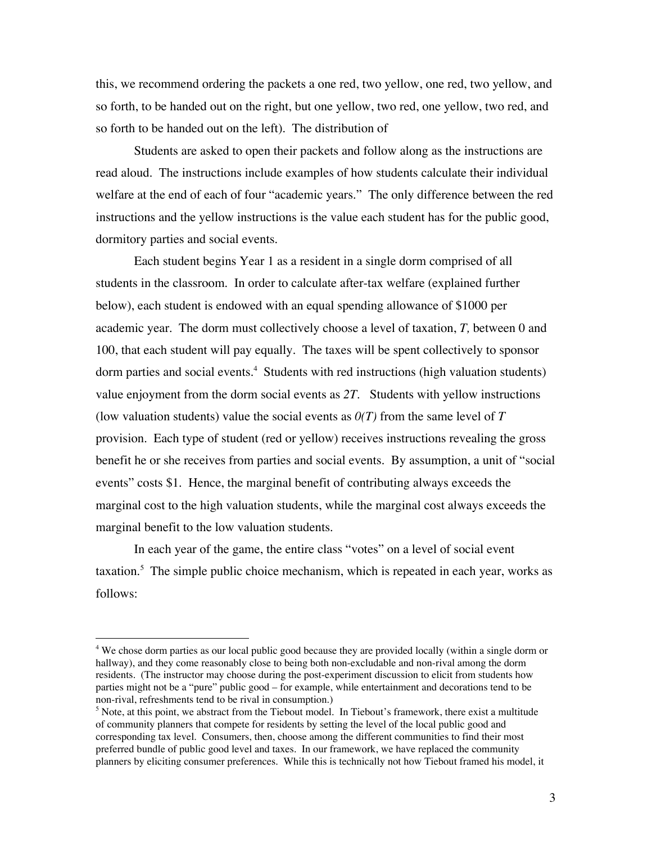this, we recommend ordering the packets a one red, two yellow, one red, two yellow, and so forth, to be handed out on the right, but one yellow, two red, one yellow, two red, and so forth to be handed out on the left). The distribution of

Students are asked to open their packets and follow along as the instructions are read aloud. The instructions include examples of how students calculate their individual welfare at the end of each of four "academic years." The only difference between the red instructions and the yellow instructions is the value each student has for the public good, dormitory parties and social events.

Each student begins Year 1 as a resident in a single dorm comprised of all students in the classroom. In order to calculate after-tax welfare (explained further below), each student is endowed with an equal spending allowance of \$1000 per academic year. The dorm must collectively choose a level of taxation, *T,* between 0 and 100, that each student will pay equally. The taxes will be spent collectively to sponsor dorm parties and social events.<sup>4</sup> Students with red instructions (high valuation students) value enjoyment from the dorm social events as *2T.* Students with yellow instructions (low valuation students) value the social events as  $O(T)$  from the same level of  $T$ provision. Each type of student (red or yellow) receives instructions revealing the gross benefit he or she receives from parties and social events. By assumption, a unit of "social events" costs \$1. Hence, the marginal benefit of contributing always exceeds the marginal cost to the high valuation students, while the marginal cost always exceeds the marginal benefit to the low valuation students.

In each year of the game, the entire class "votes" on a level of social event taxation.<sup>5</sup> The simple public choice mechanism, which is repeated in each year, works as follows:

 $\frac{1}{4}$ <sup>4</sup> We chose dorm parties as our local public good because they are provided locally (within a single dorm or hallway), and they come reasonably close to being both non-excludable and non-rival among the dorm residents. (The instructor may choose during the post-experiment discussion to elicit from students how parties might not be a "pure" public good – for example, while entertainment and decorations tend to be non-rival, refreshments tend to be rival in consumption.)

<sup>&</sup>lt;sup>5</sup> Note, at this point, we abstract from the Tiebout model. In Tiebout's framework, there exist a multitude of community planners that compete for residents by setting the level of the local public good and corresponding tax level. Consumers, then, choose among the different communities to find their most preferred bundle of public good level and taxes. In our framework, we have replaced the community planners by eliciting consumer preferences. While this is technically not how Tiebout framed his model, it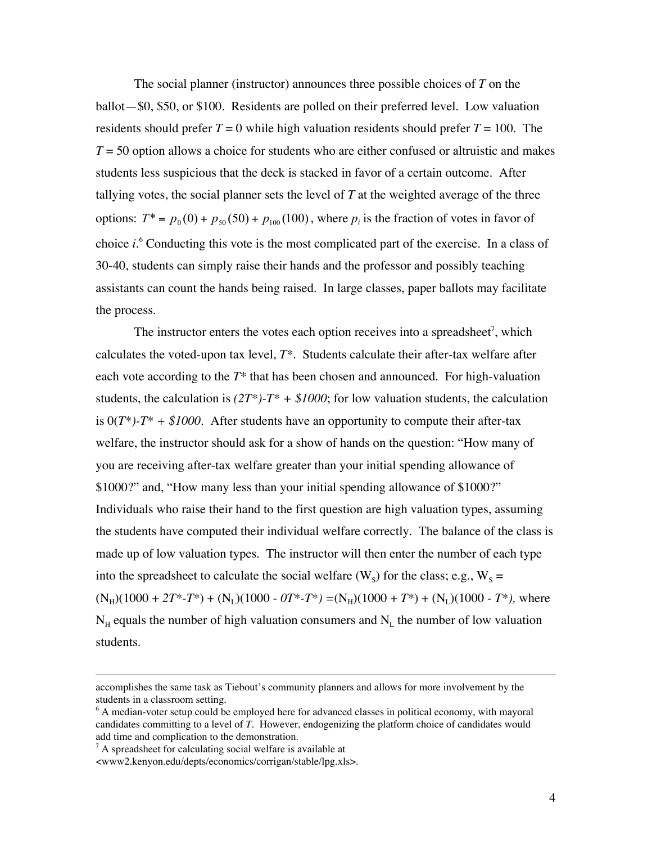The social planner (instructor) announces three possible choices of *T* on the ballot—\$0, \$50, or \$100. Residents are polled on their preferred level. Low valuation residents should prefer  $T = 0$  while high valuation residents should prefer  $T = 100$ . The *T* = 50 option allows a choice for students who are either confused or altruistic and makes students less suspicious that the deck is stacked in favor of a certain outcome. After tallying votes, the social planner sets the level of *T* at the weighted average of the three options:  $T^* = p_0(0) + p_{50}(50) + p_{100}(100)$ , where  $p_i$  is the fraction of votes in favor of choice *i*. 6 Conducting this vote is the most complicated part of the exercise. In a class of 30-40, students can simply raise their hands and the professor and possibly teaching assistants can count the hands being raised. In large classes, paper ballots may facilitate the process.

The instructor enters the votes each option receives into a spreadsheet<sup>7</sup>, which calculates the voted-upon tax level, *T\**. Students calculate their after-tax welfare after each vote according to the *T\** that has been chosen and announced. For high-valuation students, the calculation is  $(2T^*)$ - $T^*$  + \$1000; for low valuation students, the calculation is  $0(T^*)$ - $T^*$  + \$1000. After students have an opportunity to compute their after-tax welfare, the instructor should ask for a show of hands on the question: "How many of you are receiving after-tax welfare greater than your initial spending allowance of \$1000?" and, "How many less than your initial spending allowance of \$1000?" Individuals who raise their hand to the first question are high valuation types, assuming the students have computed their individual welfare correctly. The balance of the class is made up of low valuation types. The instructor will then enter the number of each type into the spreadsheet to calculate the social welfare  $(W<sub>s</sub>)$  for the class; e.g.,  $W<sub>s</sub> =$  $(N_H)(1000 + 2T^* - T^*) + (N_L)(1000 - 0T^* - T^*) = (N_H)(1000 + T^*) + (N_L)(1000 - T^*)$ , where  $N_H$  equals the number of high valuation consumers and  $N_L$  the number of low valuation students.

 $\overline{a}$ 

accomplishes the same task as Tiebout's community planners and allows for more involvement by the students in a classroom setting.

<sup>&</sup>lt;sup>6</sup> A median-voter setup could be employed here for advanced classes in political economy, with mayoral candidates committing to a level of *T*. However, endogenizing the platform choice of candidates would add time and complication to the demonstration.

 $7A$  spreadsheet for calculating social welfare is available at

<sup>&</sup>lt;www2.kenyon.edu/depts/economics/corrigan/stable/lpg.xls>.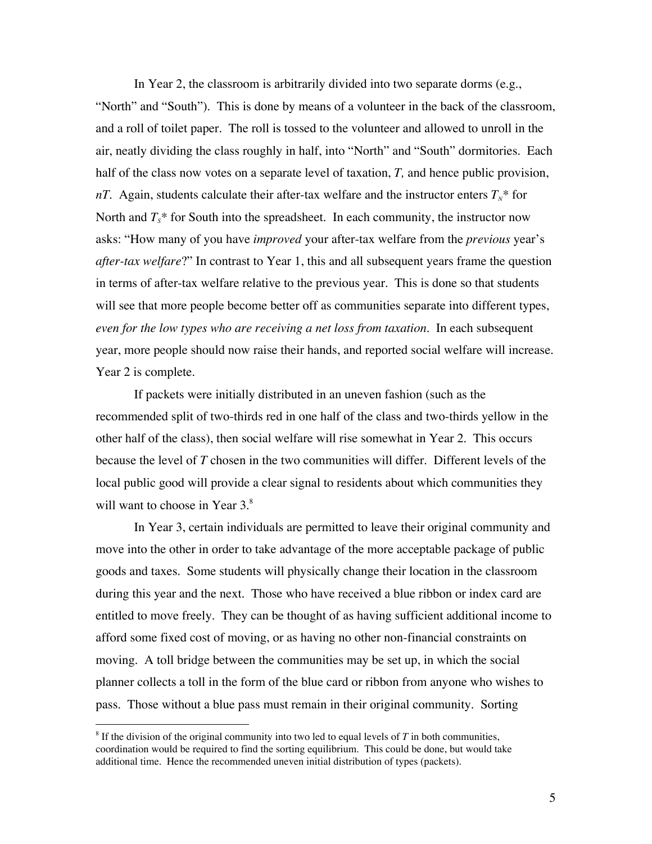In Year 2, the classroom is arbitrarily divided into two separate dorms (e.g., "North" and "South"). This is done by means of a volunteer in the back of the classroom, and a roll of toilet paper. The roll is tossed to the volunteer and allowed to unroll in the air, neatly dividing the class roughly in half, into "North" and "South" dormitories. Each half of the class now votes on a separate level of taxation, *T,* and hence public provision, *nT*. Again, students calculate their after-tax welfare and the instructor enters  $T_N^*$  for North and  $T_s^*$  for South into the spreadsheet. In each community, the instructor now asks: "How many of you have *improved* your after-tax welfare from the *previous* year's *after-tax welfare*?" In contrast to Year 1, this and all subsequent years frame the question in terms of after-tax welfare relative to the previous year. This is done so that students will see that more people become better off as communities separate into different types, *even for the low types who are receiving a net loss from taxation.* In each subsequent year, more people should now raise their hands, and reported social welfare will increase. Year 2 is complete.

If packets were initially distributed in an uneven fashion (such as the recommended split of two-thirds red in one half of the class and two-thirds yellow in the other half of the class), then social welfare will rise somewhat in Year 2. This occurs because the level of *T* chosen in the two communities will differ. Different levels of the local public good will provide a clear signal to residents about which communities they will want to choose in Year 3.<sup>8</sup>

In Year 3, certain individuals are permitted to leave their original community and move into the other in order to take advantage of the more acceptable package of public goods and taxes. Some students will physically change their location in the classroom during this year and the next. Those who have received a blue ribbon or index card are entitled to move freely. They can be thought of as having sufficient additional income to afford some fixed cost of moving, or as having no other non-financial constraints on moving. A toll bridge between the communities may be set up, in which the social planner collects a toll in the form of the blue card or ribbon from anyone who wishes to pass. Those without a blue pass must remain in their original community. Sorting

 <sup>8</sup>  ${}^8$  If the division of the original community into two led to equal levels of *T* in both communities, coordination would be required to find the sorting equilibrium. This could be done, but would take additional time. Hence the recommended uneven initial distribution of types (packets).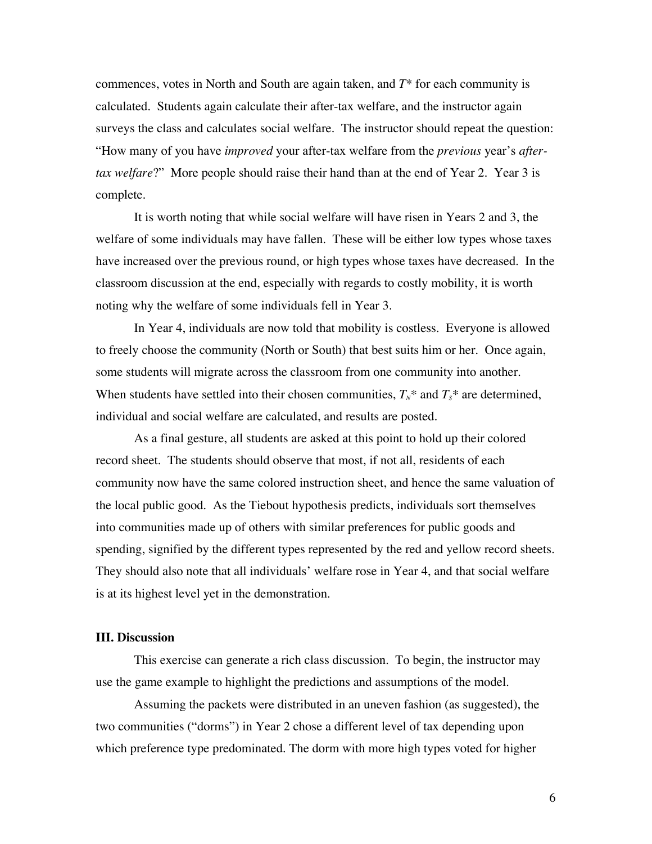commences, votes in North and South are again taken, and *T\** for each community is calculated. Students again calculate their after-tax welfare, and the instructor again surveys the class and calculates social welfare. The instructor should repeat the question: "How many of you have *improved* your after-tax welfare from the *previous* year's *aftertax welfare*?" More people should raise their hand than at the end of Year 2. Year 3 is complete.

It is worth noting that while social welfare will have risen in Years 2 and 3, the welfare of some individuals may have fallen. These will be either low types whose taxes have increased over the previous round, or high types whose taxes have decreased. In the classroom discussion at the end, especially with regards to costly mobility, it is worth noting why the welfare of some individuals fell in Year 3.

In Year 4, individuals are now told that mobility is costless. Everyone is allowed to freely choose the community (North or South) that best suits him or her. Once again, some students will migrate across the classroom from one community into another. When students have settled into their chosen communities,  $T_N^*$  and  $T_S^*$  are determined, individual and social welfare are calculated, and results are posted.

As a final gesture, all students are asked at this point to hold up their colored record sheet. The students should observe that most, if not all, residents of each community now have the same colored instruction sheet, and hence the same valuation of the local public good. As the Tiebout hypothesis predicts, individuals sort themselves into communities made up of others with similar preferences for public goods and spending, signified by the different types represented by the red and yellow record sheets. They should also note that all individuals' welfare rose in Year 4, and that social welfare is at its highest level yet in the demonstration.

#### **III. Discussion**

This exercise can generate a rich class discussion. To begin, the instructor may use the game example to highlight the predictions and assumptions of the model.

Assuming the packets were distributed in an uneven fashion (as suggested), the two communities ("dorms") in Year 2 chose a different level of tax depending upon which preference type predominated. The dorm with more high types voted for higher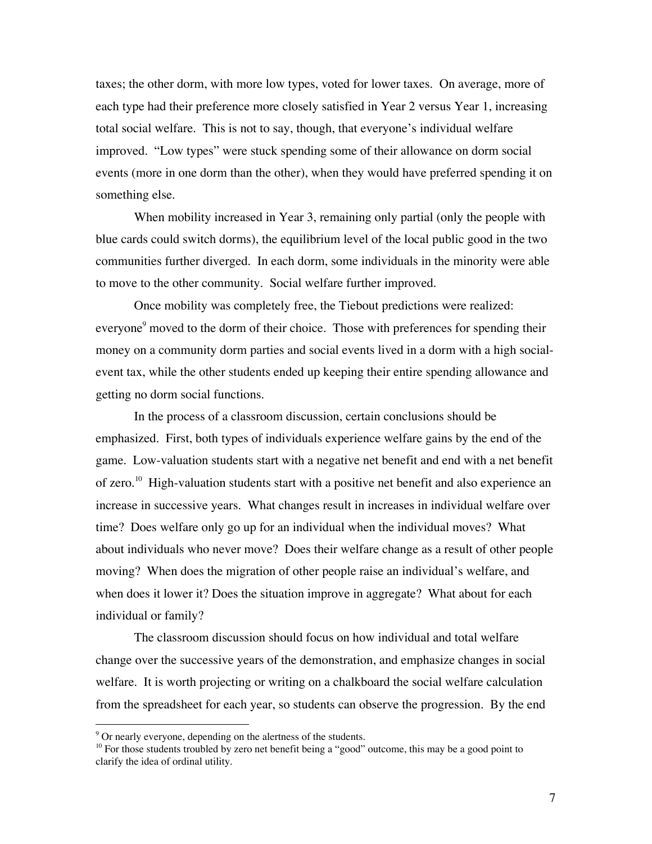taxes; the other dorm, with more low types, voted for lower taxes. On average, more of each type had their preference more closely satisfied in Year 2 versus Year 1, increasing total social welfare. This is not to say, though, that everyone's individual welfare improved. "Low types" were stuck spending some of their allowance on dorm social events (more in one dorm than the other), when they would have preferred spending it on something else.

When mobility increased in Year 3, remaining only partial (only the people with blue cards could switch dorms), the equilibrium level of the local public good in the two communities further diverged. In each dorm, some individuals in the minority were able to move to the other community. Social welfare further improved.

Once mobility was completely free, the Tiebout predictions were realized: everyone<sup>9</sup> moved to the dorm of their choice. Those with preferences for spending their money on a community dorm parties and social events lived in a dorm with a high socialevent tax, while the other students ended up keeping their entire spending allowance and getting no dorm social functions.

In the process of a classroom discussion, certain conclusions should be emphasized. First, both types of individuals experience welfare gains by the end of the game. Low-valuation students start with a negative net benefit and end with a net benefit of zero.<sup>10</sup> High-valuation students start with a positive net benefit and also experience an increase in successive years. What changes result in increases in individual welfare over time? Does welfare only go up for an individual when the individual moves? What about individuals who never move? Does their welfare change as a result of other people moving? When does the migration of other people raise an individual's welfare, and when does it lower it? Does the situation improve in aggregate? What about for each individual or family?

The classroom discussion should focus on how individual and total welfare change over the successive years of the demonstration, and emphasize changes in social welfare. It is worth projecting or writing on a chalkboard the social welfare calculation from the spreadsheet for each year, so students can observe the progression. By the end

<sup>-&</sup>lt;br>9  $\degree$  Or nearly everyone, depending on the alertness of the students.

<sup>&</sup>lt;sup>10</sup> For those students troubled by zero net benefit being a "good" outcome, this may be a good point to clarify the idea of ordinal utility.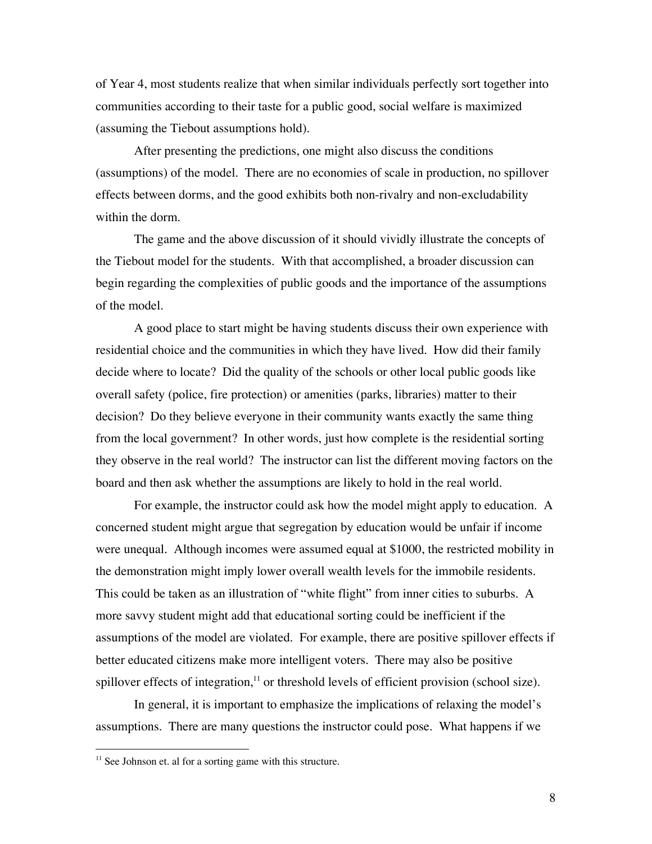of Year 4, most students realize that when similar individuals perfectly sort together into communities according to their taste for a public good, social welfare is maximized (assuming the Tiebout assumptions hold).

After presenting the predictions, one might also discuss the conditions (assumptions) of the model. There are no economies of scale in production, no spillover effects between dorms, and the good exhibits both non-rivalry and non-excludability within the dorm.

The game and the above discussion of it should vividly illustrate the concepts of the Tiebout model for the students. With that accomplished, a broader discussion can begin regarding the complexities of public goods and the importance of the assumptions of the model.

A good place to start might be having students discuss their own experience with residential choice and the communities in which they have lived. How did their family decide where to locate? Did the quality of the schools or other local public goods like overall safety (police, fire protection) or amenities (parks, libraries) matter to their decision? Do they believe everyone in their community wants exactly the same thing from the local government? In other words, just how complete is the residential sorting they observe in the real world? The instructor can list the different moving factors on the board and then ask whether the assumptions are likely to hold in the real world.

For example, the instructor could ask how the model might apply to education. A concerned student might argue that segregation by education would be unfair if income were unequal. Although incomes were assumed equal at \$1000, the restricted mobility in the demonstration might imply lower overall wealth levels for the immobile residents. This could be taken as an illustration of "white flight" from inner cities to suburbs. A more savvy student might add that educational sorting could be inefficient if the assumptions of the model are violated. For example, there are positive spillover effects if better educated citizens make more intelligent voters. There may also be positive spillover effects of integration,<sup>11</sup> or threshold levels of efficient provision (school size).

In general, it is important to emphasize the implications of relaxing the model's assumptions. There are many questions the instructor could pose. What happens if we

<sup>&</sup>lt;sup>11</sup> See Johnson et. al for a sorting game with this structure.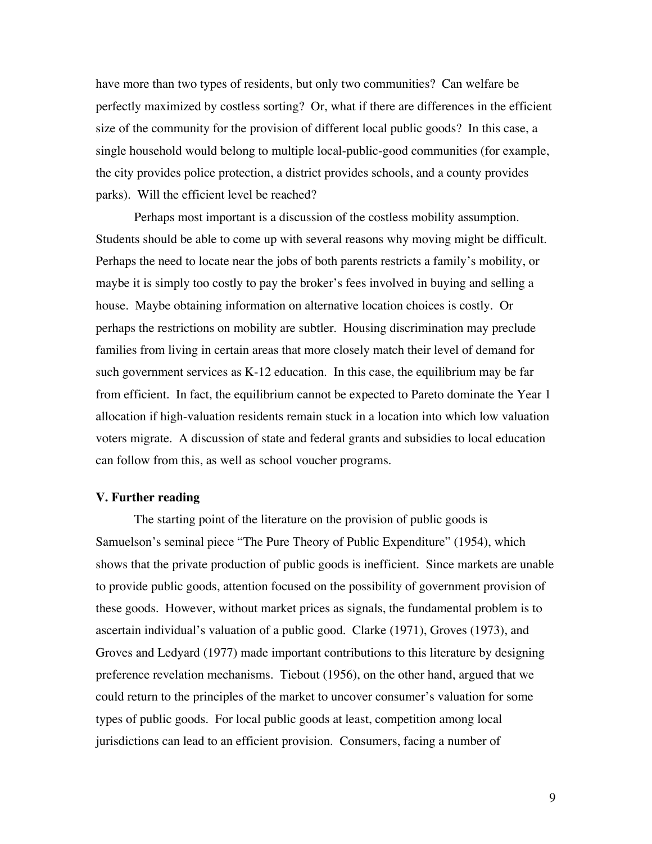have more than two types of residents, but only two communities? Can welfare be perfectly maximized by costless sorting? Or, what if there are differences in the efficient size of the community for the provision of different local public goods? In this case, a single household would belong to multiple local-public-good communities (for example, the city provides police protection, a district provides schools, and a county provides parks). Will the efficient level be reached?

Perhaps most important is a discussion of the costless mobility assumption. Students should be able to come up with several reasons why moving might be difficult. Perhaps the need to locate near the jobs of both parents restricts a family's mobility, or maybe it is simply too costly to pay the broker's fees involved in buying and selling a house. Maybe obtaining information on alternative location choices is costly. Or perhaps the restrictions on mobility are subtler. Housing discrimination may preclude families from living in certain areas that more closely match their level of demand for such government services as K-12 education. In this case, the equilibrium may be far from efficient. In fact, the equilibrium cannot be expected to Pareto dominate the Year 1 allocation if high-valuation residents remain stuck in a location into which low valuation voters migrate. A discussion of state and federal grants and subsidies to local education can follow from this, as well as school voucher programs.

#### **V. Further reading**

The starting point of the literature on the provision of public goods is Samuelson's seminal piece "The Pure Theory of Public Expenditure" (1954), which shows that the private production of public goods is inefficient. Since markets are unable to provide public goods, attention focused on the possibility of government provision of these goods. However, without market prices as signals, the fundamental problem is to ascertain individual's valuation of a public good. Clarke (1971), Groves (1973), and Groves and Ledyard (1977) made important contributions to this literature by designing preference revelation mechanisms. Tiebout (1956), on the other hand, argued that we could return to the principles of the market to uncover consumer's valuation for some types of public goods. For local public goods at least, competition among local jurisdictions can lead to an efficient provision. Consumers, facing a number of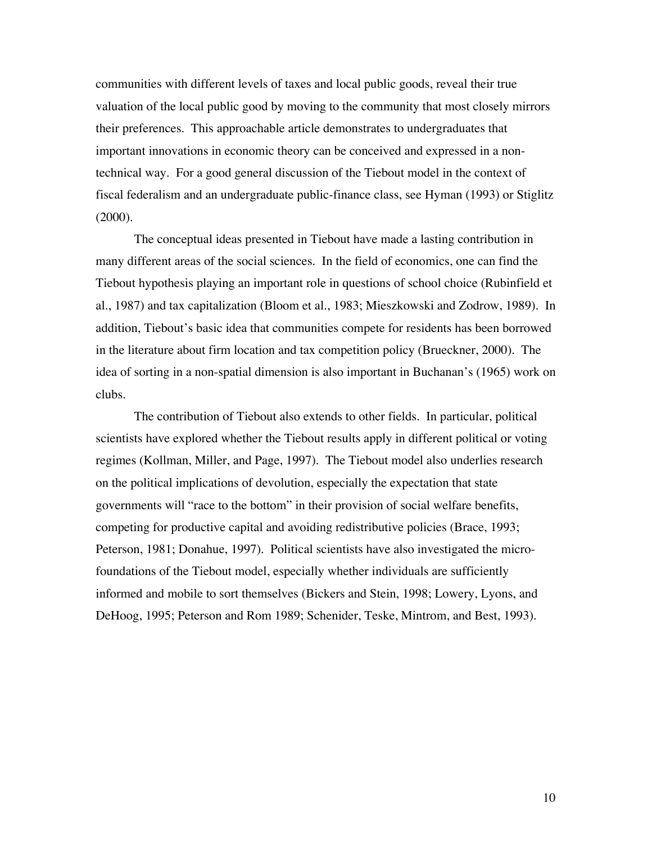communities with different levels of taxes and local public goods, reveal their true valuation of the local public good by moving to the community that most closely mirrors their preferences. This approachable article demonstrates to undergraduates that important innovations in economic theory can be conceived and expressed in a nontechnical way. For a good general discussion of the Tiebout model in the context of fiscal federalism and an undergraduate public-finance class, see Hyman (1993) or Stiglitz (2000).

The conceptual ideas presented in Tiebout have made a lasting contribution in many different areas of the social sciences. In the field of economics, one can find the Tiebout hypothesis playing an important role in questions of school choice (Rubinfield et al., 1987) and tax capitalization (Bloom et al., 1983; Mieszkowski and Zodrow, 1989). In addition, Tiebout's basic idea that communities compete for residents has been borrowed in the literature about firm location and tax competition policy (Brueckner, 2000). The idea of sorting in a non-spatial dimension is also important in Buchanan's (1965) work on clubs.

The contribution of Tiebout also extends to other fields. In particular, political scientists have explored whether the Tiebout results apply in different political or voting regimes (Kollman, Miller, and Page, 1997). The Tiebout model also underlies research on the political implications of devolution, especially the expectation that state governments will "race to the bottom" in their provision of social welfare benefits, competing for productive capital and avoiding redistributive policies (Brace, 1993; Peterson, 1981; Donahue, 1997). Political scientists have also investigated the microfoundations of the Tiebout model, especially whether individuals are sufficiently informed and mobile to sort themselves (Bickers and Stein, 1998; Lowery, Lyons, and DeHoog, 1995; Peterson and Rom 1989; Schenider, Teske, Mintrom, and Best, 1993).

10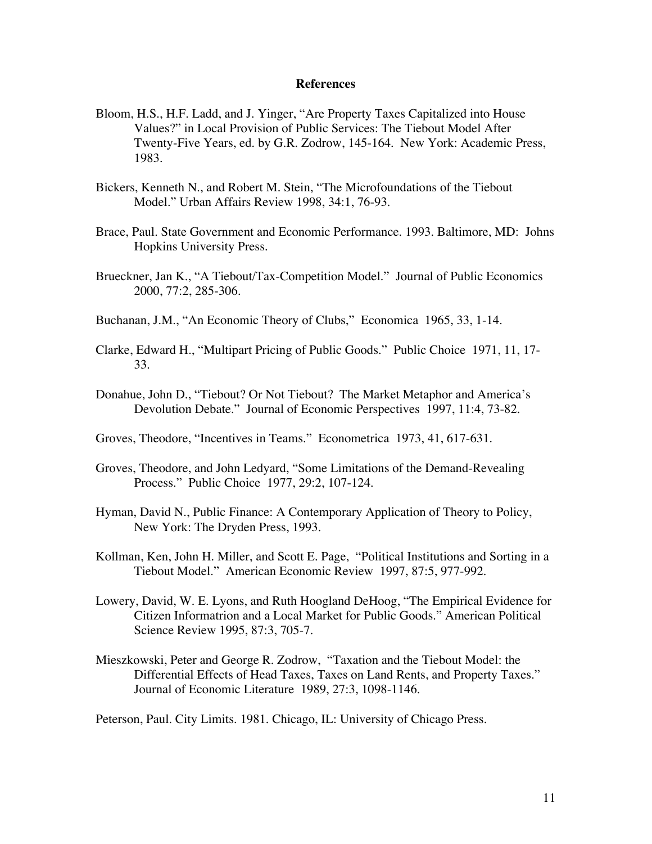#### **References**

- Bloom, H.S., H.F. Ladd, and J. Yinger, "Are Property Taxes Capitalized into House Values?" in Local Provision of Public Services: The Tiebout Model After Twenty-Five Years, ed. by G.R. Zodrow, 145-164. New York: Academic Press, 1983.
- Bickers, Kenneth N., and Robert M. Stein, "The Microfoundations of the Tiebout Model." Urban Affairs Review 1998, 34:1, 76-93.
- Brace, Paul. State Government and Economic Performance. 1993. Baltimore, MD: Johns Hopkins University Press.
- Brueckner, Jan K., "A Tiebout/Tax-Competition Model." Journal of Public Economics 2000, 77:2, 285-306.
- Buchanan, J.M., "An Economic Theory of Clubs," Economica 1965, 33, 1-14.
- Clarke, Edward H., "Multipart Pricing of Public Goods." Public Choice 1971, 11, 17- 33.
- Donahue, John D., "Tiebout? Or Not Tiebout? The Market Metaphor and America's Devolution Debate." Journal of Economic Perspectives 1997, 11:4, 73-82.
- Groves, Theodore, "Incentives in Teams." Econometrica 1973, 41, 617-631.
- Groves, Theodore, and John Ledyard, "Some Limitations of the Demand-Revealing Process." Public Choice 1977, 29:2, 107-124.
- Hyman, David N., Public Finance: A Contemporary Application of Theory to Policy, New York: The Dryden Press, 1993.
- Kollman, Ken, John H. Miller, and Scott E. Page, "Political Institutions and Sorting in a Tiebout Model." American Economic Review 1997, 87:5, 977-992.
- Lowery, David, W. E. Lyons, and Ruth Hoogland DeHoog, "The Empirical Evidence for Citizen Informatrion and a Local Market for Public Goods." American Political Science Review 1995, 87:3, 705-7.
- Mieszkowski, Peter and George R. Zodrow, "Taxation and the Tiebout Model: the Differential Effects of Head Taxes, Taxes on Land Rents, and Property Taxes." Journal of Economic Literature 1989, 27:3, 1098-1146.

Peterson, Paul. City Limits. 1981. Chicago, IL: University of Chicago Press.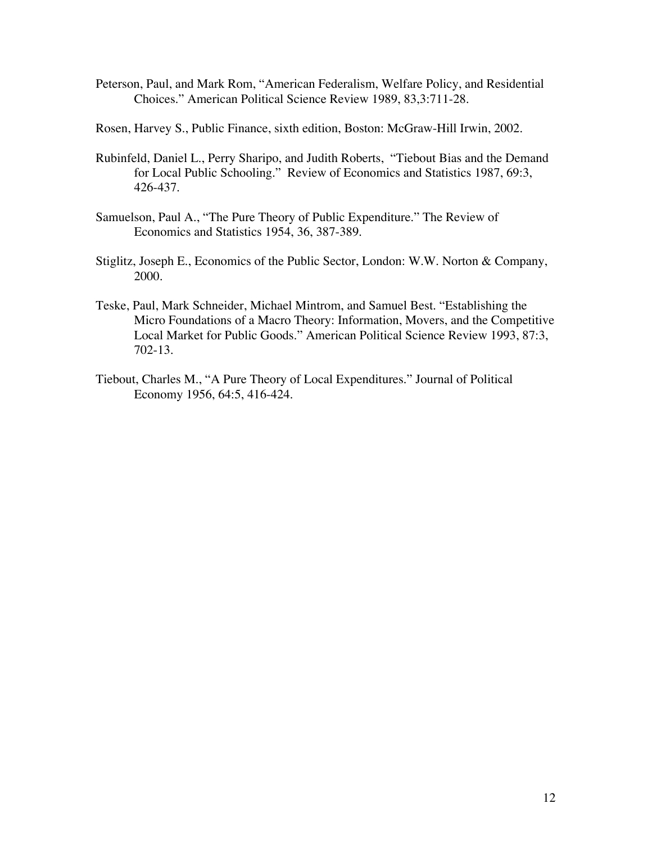- Peterson, Paul, and Mark Rom, "American Federalism, Welfare Policy, and Residential Choices." American Political Science Review 1989, 83,3:711-28.
- Rosen, Harvey S., Public Finance, sixth edition, Boston: McGraw-Hill Irwin, 2002.
- Rubinfeld, Daniel L., Perry Sharipo, and Judith Roberts, "Tiebout Bias and the Demand for Local Public Schooling." Review of Economics and Statistics 1987, 69:3, 426-437.
- Samuelson, Paul A., "The Pure Theory of Public Expenditure." The Review of Economics and Statistics 1954, 36, 387-389.
- Stiglitz, Joseph E., Economics of the Public Sector, London: W.W. Norton & Company, 2000.
- Teske, Paul, Mark Schneider, Michael Mintrom, and Samuel Best. "Establishing the Micro Foundations of a Macro Theory: Information, Movers, and the Competitive Local Market for Public Goods." American Political Science Review 1993, 87:3, 702-13.
- Tiebout, Charles M., "A Pure Theory of Local Expenditures." Journal of Political Economy 1956, 64:5, 416-424.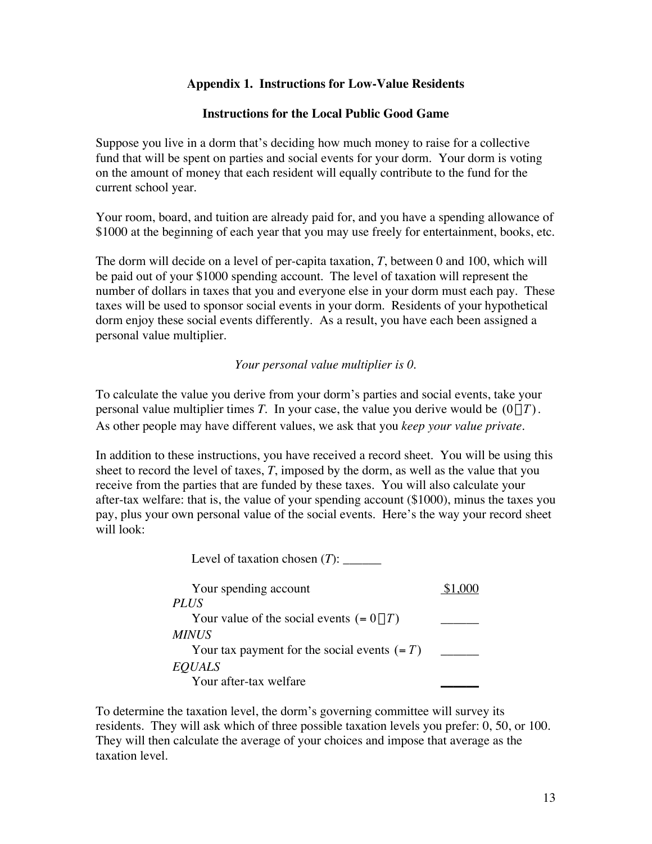# **Appendix 1. Instructions for Low-Value Residents**

### **Instructions for the Local Public Good Game**

Suppose you live in a dorm that's deciding how much money to raise for a collective fund that will be spent on parties and social events for your dorm. Your dorm is voting on the amount of money that each resident will equally contribute to the fund for the current school year.

Your room, board, and tuition are already paid for, and you have a spending allowance of \$1000 at the beginning of each year that you may use freely for entertainment, books, etc.

The dorm will decide on a level of per-capita taxation, *T*, between 0 and 100, which will be paid out of your \$1000 spending account. The level of taxation will represent the number of dollars in taxes that you and everyone else in your dorm must each pay. These taxes will be used to sponsor social events in your dorm. Residents of your hypothetical dorm enjoy these social events differently. As a result, you have each been assigned a personal value multiplier.

*Your personal value multiplier is 0.*

To calculate the value you derive from your dorm's parties and social events, take your personal value multiplier times *T*. In your case, the value you derive would be  $(0 \times T)$ . As other people may have different values, we ask that you *keep your value private*.

In addition to these instructions, you have received a record sheet. You will be using this sheet to record the level of taxes, *T*, imposed by the dorm, as well as the value that you receive from the parties that are funded by these taxes. You will also calculate your after-tax welfare: that is, the value of your spending account (\$1000), minus the taxes you pay, plus your own personal value of the social events. Here's the way your record sheet will look:

Level of taxation chosen (*T*): \_\_\_\_\_\_\_

| Your spending account                            |  |
|--------------------------------------------------|--|
| <b>PLUS</b>                                      |  |
| Your value of the social events $(= 0 \times T)$ |  |
| <i>MINUS</i>                                     |  |
| Your tax payment for the social events $(=T)$    |  |
| <b>EQUALS</b>                                    |  |
| Your after-tax welfare                           |  |

To determine the taxation level, the dorm's governing committee will survey its residents. They will ask which of three possible taxation levels you prefer: 0, 50, or 100. They will then calculate the average of your choices and impose that average as the taxation level.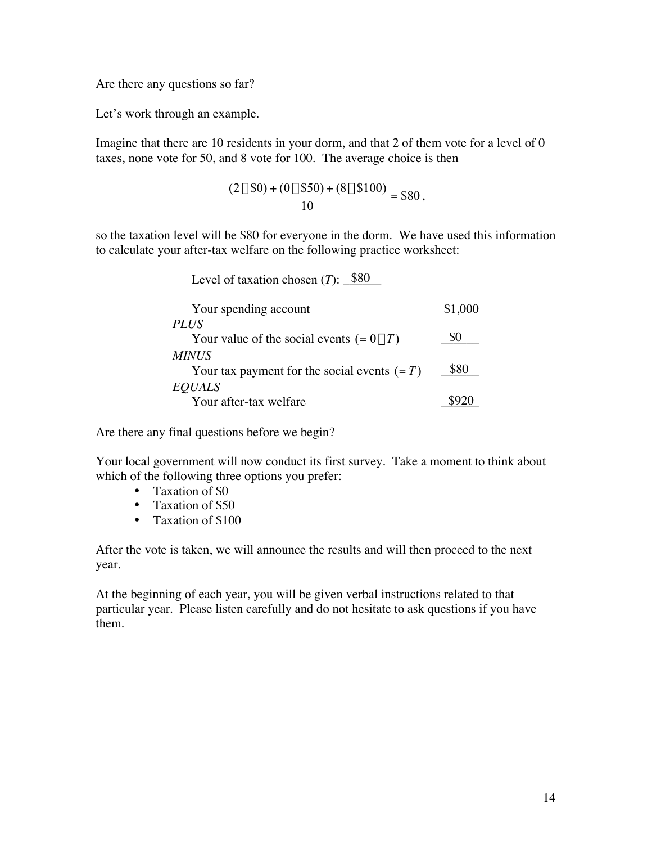Are there any questions so far?

Let's work through an example.

Imagine that there are 10 residents in your dorm, and that 2 of them vote for a level of 0 taxes, none vote for 50, and 8 vote for 100. The average choice is then

$$
\frac{(2 \times \$0) + (0 \times \$50) + (8 \times \$100)}{10} = \$80,
$$

so the taxation level will be \$80 for everyone in the dorm. We have used this information to calculate your after-tax welfare on the following practice worksheet:

Level of taxation chosen  $(T)$ :  $\frac{\$80}{\$80}$ 

| Your spending account                            | \$1,000 |
|--------------------------------------------------|---------|
| <i>PLUS</i>                                      |         |
| Your value of the social events $(= 0 \times T)$ | 80      |
| <b>MINUS</b>                                     |         |
| Your tax payment for the social events $(=T)$    | \$80    |
| <b>EQUALS</b>                                    |         |
| Your after-tax welfare                           |         |

Are there any final questions before we begin?

Your local government will now conduct its first survey. Take a moment to think about which of the following three options you prefer:

> Taxation of \$0 Taxation of \$50 Taxation of \$100

After the vote is taken, we will announce the results and will then proceed to the next year.

At the beginning of each year, you will be given verbal instructions related to that particular year. Please listen carefully and do not hesitate to ask questions if you have them.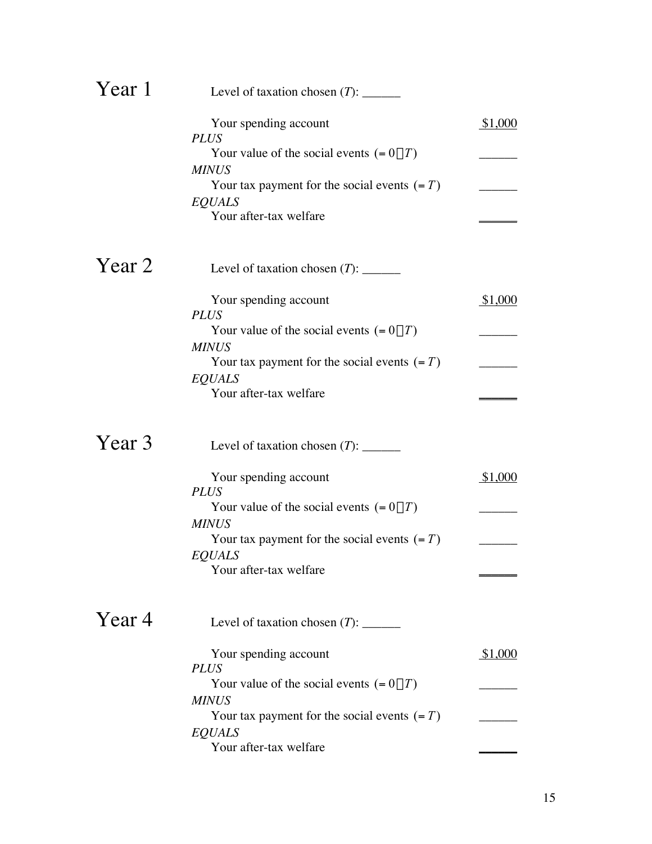| Year 1 |                                                  |         |
|--------|--------------------------------------------------|---------|
|        | Your spending account<br><b>PLUS</b>             | \$1,000 |
|        | Your value of the social events $(= 0 \times T)$ |         |
|        | <b>MINUS</b>                                     |         |
|        | Your tax payment for the social events $(=T)$    |         |
|        | <b>EQUALS</b>                                    |         |
|        | Your after-tax welfare                           |         |
| Year 2 |                                                  |         |
|        | Your spending account<br><b>PLUS</b>             | \$1,000 |
|        | Your value of the social events $(= 0 \times T)$ |         |
|        | <b>MINUS</b>                                     |         |
|        | Your tax payment for the social events $(=T)$    |         |
|        | <b>EQUALS</b>                                    |         |
|        | Your after-tax welfare                           |         |
| Year 3 |                                                  |         |
|        | Your spending account<br><b>PLUS</b>             | \$1,000 |
|        | Your value of the social events $(= 0 \times T)$ |         |
|        | <b>MINUS</b>                                     |         |
|        | Your tax payment for the social events $(=T)$    |         |
|        | <b>EQUALS</b>                                    |         |
|        | Your after-tax welfare                           |         |
| Year 4 |                                                  |         |
|        | Your spending account<br><b>PLUS</b>             | \$1,000 |
|        | Your value of the social events $(= 0 \times T)$ |         |
|        | <b>MINUS</b>                                     |         |
|        | Your tax payment for the social events $(=T)$    |         |
|        | <b>EQUALS</b>                                    |         |
|        | Your after-tax welfare                           |         |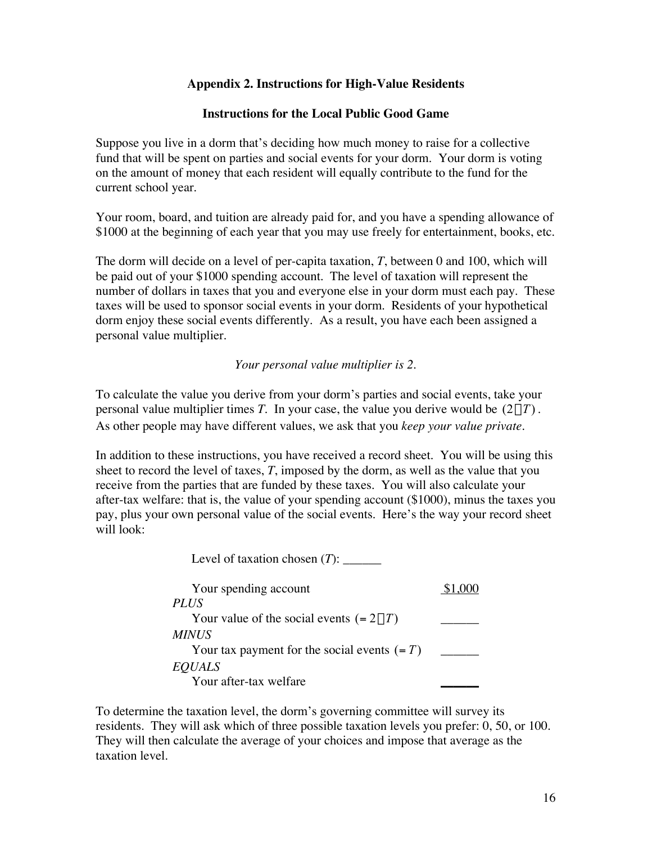# **Appendix 2. Instructions for High-Value Residents**

### **Instructions for the Local Public Good Game**

Suppose you live in a dorm that's deciding how much money to raise for a collective fund that will be spent on parties and social events for your dorm. Your dorm is voting on the amount of money that each resident will equally contribute to the fund for the current school year.

Your room, board, and tuition are already paid for, and you have a spending allowance of \$1000 at the beginning of each year that you may use freely for entertainment, books, etc.

The dorm will decide on a level of per-capita taxation, *T*, between 0 and 100, which will be paid out of your \$1000 spending account. The level of taxation will represent the number of dollars in taxes that you and everyone else in your dorm must each pay. These taxes will be used to sponsor social events in your dorm. Residents of your hypothetical dorm enjoy these social events differently. As a result, you have each been assigned a personal value multiplier.

*Your personal value multiplier is 2.*

To calculate the value you derive from your dorm's parties and social events, take your personal value multiplier times *T*. In your case, the value you derive would be  $(2 \times T)$ . As other people may have different values, we ask that you *keep your value private*.

In addition to these instructions, you have received a record sheet. You will be using this sheet to record the level of taxes, *T*, imposed by the dorm, as well as the value that you receive from the parties that are funded by these taxes. You will also calculate your after-tax welfare: that is, the value of your spending account (\$1000), minus the taxes you pay, plus your own personal value of the social events. Here's the way your record sheet will look:

Level of taxation chosen (*T*): \_\_\_\_\_\_\_

| Your spending account                            |  |
|--------------------------------------------------|--|
| <b>PLUS</b>                                      |  |
| Your value of the social events $(= 2 \times T)$ |  |
| <i>MINUS</i>                                     |  |
| Your tax payment for the social events $(=T)$    |  |
| <b>EQUALS</b>                                    |  |
| Your after-tax welfare                           |  |

To determine the taxation level, the dorm's governing committee will survey its residents. They will ask which of three possible taxation levels you prefer: 0, 50, or 100. They will then calculate the average of your choices and impose that average as the taxation level.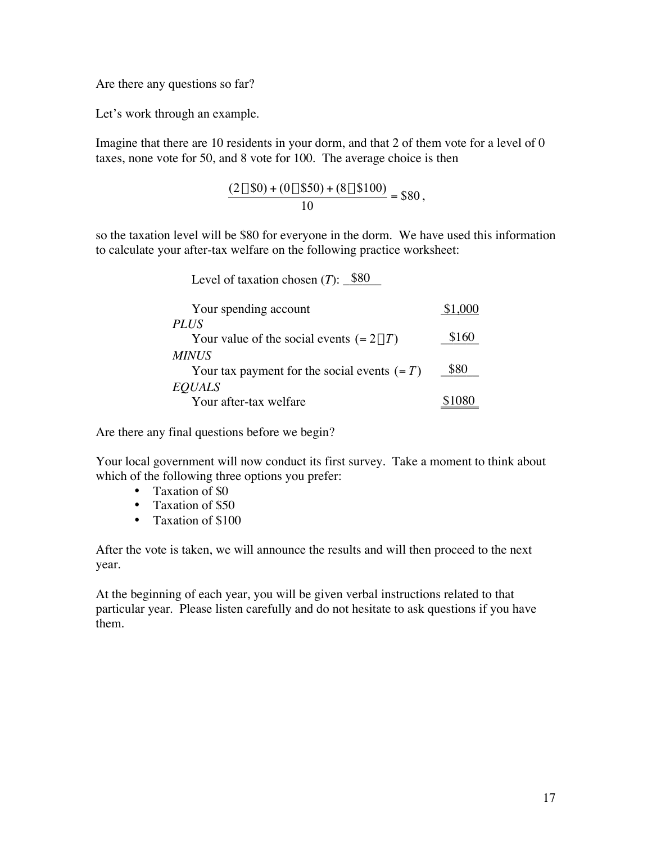Are there any questions so far?

Let's work through an example.

Imagine that there are 10 residents in your dorm, and that 2 of them vote for a level of 0 taxes, none vote for 50, and 8 vote for 100. The average choice is then

$$
\frac{(2 \times \$0) + (0 \times \$50) + (8 \times \$100)}{10} = \$80,
$$

so the taxation level will be \$80 for everyone in the dorm. We have used this information to calculate your after-tax welfare on the following practice worksheet:

Level of taxation chosen  $(T)$ :  $\frac{\$80}{\$80}$ 

| Your spending account                                           | \$1,000 |
|-----------------------------------------------------------------|---------|
| <i>PLUS</i><br>Your value of the social events $(= 2 \times T)$ | \$160   |
| <i>MINUS</i><br>Your tax payment for the social events $(=T)$   | \$80    |
| <b>EQUALS</b>                                                   |         |
| Your after-tax welfare                                          | \$107   |

Are there any final questions before we begin?

Your local government will now conduct its first survey. Take a moment to think about which of the following three options you prefer:

> Taxation of \$0 Taxation of \$50 Taxation of \$100

After the vote is taken, we will announce the results and will then proceed to the next year.

At the beginning of each year, you will be given verbal instructions related to that particular year. Please listen carefully and do not hesitate to ask questions if you have them.